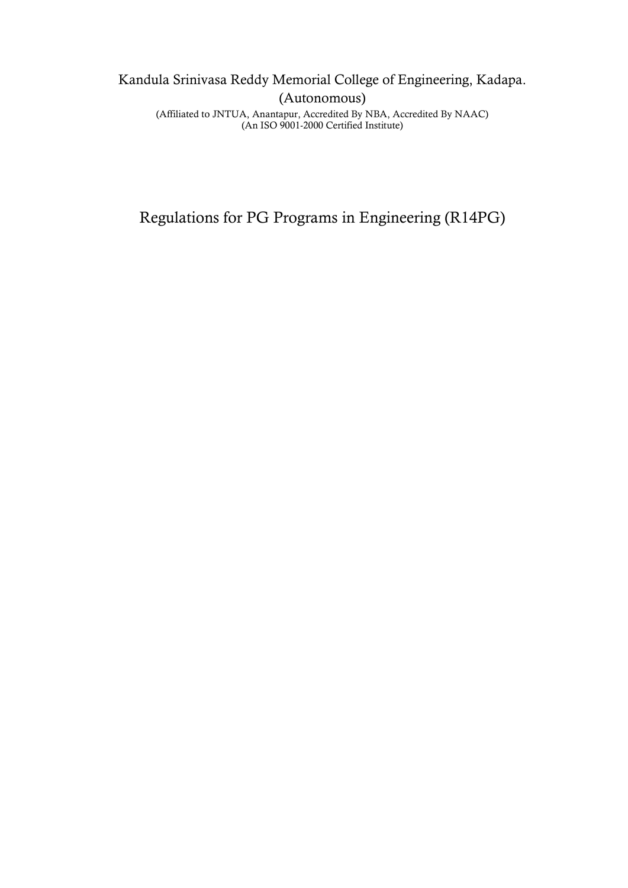# Kandula Srinivasa Reddy Memorial College of Engineering, Kadapa. (Autonomous)

(Affiliated to JNTUA, Anantapur, Accredited By NBA, Accredited By NAAC) (An ISO 9001-2000 Certified Institute)

Regulations for PG Programs in Engineering (R14PG)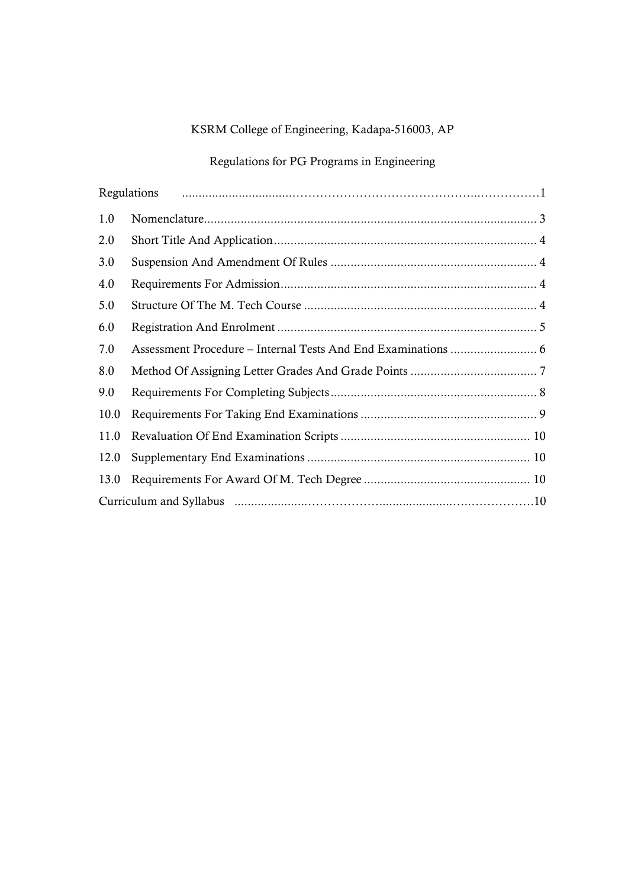# KSRM College of Engineering, Kadapa-516003, AP

# Regulations for PG Programs in Engineering

|      | Regulations |  |  |  |
|------|-------------|--|--|--|
| 1.0  |             |  |  |  |
| 2.0  |             |  |  |  |
| 3.0  |             |  |  |  |
| 4.0  |             |  |  |  |
| 5.0  |             |  |  |  |
| 6.0  |             |  |  |  |
| 7.0  |             |  |  |  |
| 8.0  |             |  |  |  |
| 9.0  |             |  |  |  |
| 10.0 |             |  |  |  |
| 11.0 |             |  |  |  |
| 12.0 |             |  |  |  |
| 13.0 |             |  |  |  |
|      |             |  |  |  |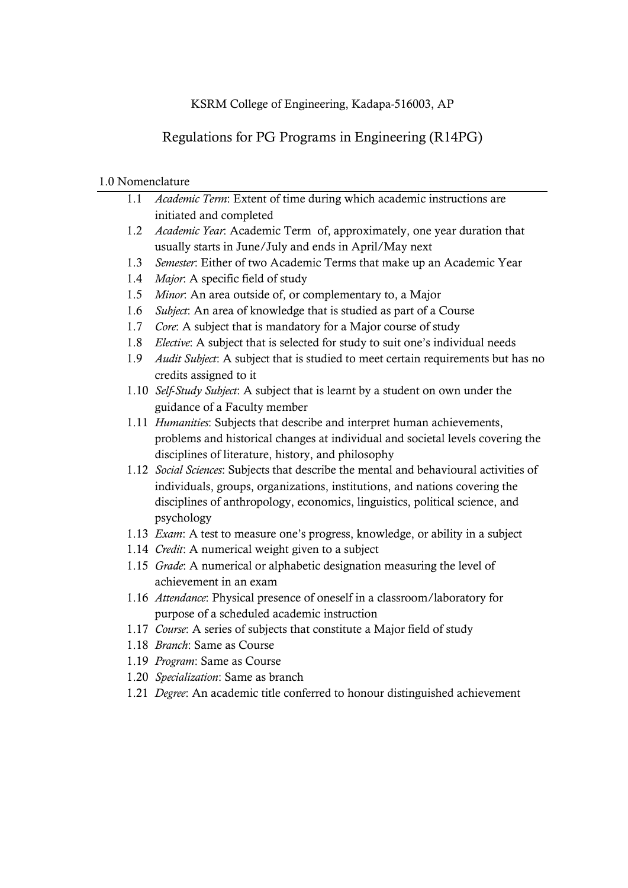### KSRM College of Engineering, Kadapa-516003, AP

# Regulations for PG Programs in Engineering (R14PG)

### 1.0 Nomenclature

| 1.1 | Academic Term: Extent of time during which academic instructions are                    |  |  |  |  |
|-----|-----------------------------------------------------------------------------------------|--|--|--|--|
|     | initiated and completed                                                                 |  |  |  |  |
| 1.2 | Academic Year. Academic Term of, approximately, one year duration that                  |  |  |  |  |
|     | usually starts in June/July and ends in April/May next                                  |  |  |  |  |
| 1.3 | Semester: Either of two Academic Terms that make up an Academic Year                    |  |  |  |  |
| 1.4 | Major. A specific field of study                                                        |  |  |  |  |
| 1.5 | Minor. An area outside of, or complementary to, a Major                                 |  |  |  |  |
| 1.6 | Subject: An area of knowledge that is studied as part of a Course                       |  |  |  |  |
| 1.7 | Core: A subject that is mandatory for a Major course of study                           |  |  |  |  |
| 1.8 | Elective: A subject that is selected for study to suit one's individual needs           |  |  |  |  |
| 1.9 | Audit Subject: A subject that is studied to meet certain requirements but has no        |  |  |  |  |
|     | credits assigned to it                                                                  |  |  |  |  |
|     | 1.10 Self-Study Subject: A subject that is learnt by a student on own under the         |  |  |  |  |
|     | guidance of a Faculty member                                                            |  |  |  |  |
|     | 1.11 Humanities: Subjects that describe and interpret human achievements,               |  |  |  |  |
|     | problems and historical changes at individual and societal levels covering the          |  |  |  |  |
|     | disciplines of literature, history, and philosophy                                      |  |  |  |  |
|     | 1.12 Social Sciences: Subjects that describe the mental and behavioural activities of   |  |  |  |  |
|     | individuals, groups, organizations, institutions, and nations covering the              |  |  |  |  |
|     | disciplines of anthropology, economics, linguistics, political science, and             |  |  |  |  |
|     | psychology                                                                              |  |  |  |  |
|     | 1.13 <i>Exam</i> : A test to measure one's progress, knowledge, or ability in a subject |  |  |  |  |
|     | 1.14 Credit: A numerical weight given to a subject                                      |  |  |  |  |
|     | 1.15 Grade: A numerical or alphabetic designation measuring the level of                |  |  |  |  |
|     | achievement in an exam                                                                  |  |  |  |  |
|     | 1.16 Attendance: Physical presence of oneself in a classroom/laboratory for             |  |  |  |  |
|     | purpose of a scheduled academic instruction                                             |  |  |  |  |
|     | 1.17 Course: A series of subjects that constitute a Major field of study                |  |  |  |  |
|     | 1.18 Branch: Same as Course                                                             |  |  |  |  |
|     | 1.19 Program: Same as Course                                                            |  |  |  |  |
|     | 1.20 Specialization: Same as branch                                                     |  |  |  |  |
|     | 1.21 Degree: An academic title conferred to honour distinguished achievement            |  |  |  |  |
|     |                                                                                         |  |  |  |  |
|     |                                                                                         |  |  |  |  |
|     |                                                                                         |  |  |  |  |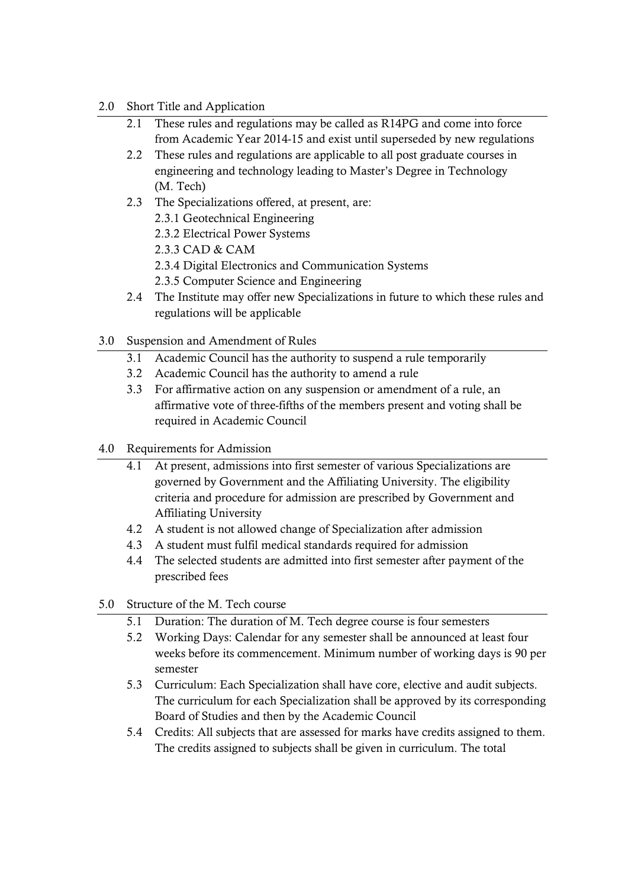### 2.0 Short Title and Application

- 2.1 These rules and regulations may be called as R14PG and come into force from Academic Year 2014-15 and exist until superseded by new regulations
- 2.2 These rules and regulations are applicable to all post graduate courses in engineering and technology leading to Master's Degree in Technology (M. Tech)
- 2.3 The Specializations offered, at present, are:
	- 2.3.1 Geotechnical Engineering
	- 2.3.2 Electrical Power Systems
	- 2.3.3 CAD & CAM
	- 2.3.4 Digital Electronics and Communication Systems
	- 2.3.5 Computer Science and Engineering
- 2.4 The Institute may offer new Specializations in future to which these rules and regulations will be applicable
- 3.0 Suspension and Amendment of Rules
	- 3.1 Academic Council has the authority to suspend a rule temporarily
	- 3.2 Academic Council has the authority to amend a rule
	- 3.3 For affirmative action on any suspension or amendment of a rule, an affirmative vote of three-fifths of the members present and voting shall be required in Academic Council
- 4.0 Requirements for Admission
	- 4.1 At present, admissions into first semester of various Specializations are governed by Government and the Affiliating University. The eligibility criteria and procedure for admission are prescribed by Government and Affiliating University
	- 4.2 A student is not allowed change of Specialization after admission
	- 4.3 A student must fulfil medical standards required for admission
	- 4.4 The selected students are admitted into first semester after payment of the prescribed fees
- 5.0 Structure of the M. Tech course
	- 5.1 Duration: The duration of M. Tech degree course is four semesters
	- 5.2 Working Days: Calendar for any semester shall be announced at least four weeks before its commencement. Minimum number of working days is 90 per semester
	- 5.3 Curriculum: Each Specialization shall have core, elective and audit subjects. The curriculum for each Specialization shall be approved by its corresponding Board of Studies and then by the Academic Council
	- 5.4 Credits: All subjects that are assessed for marks have credits assigned to them. The credits assigned to subjects shall be given in curriculum. The total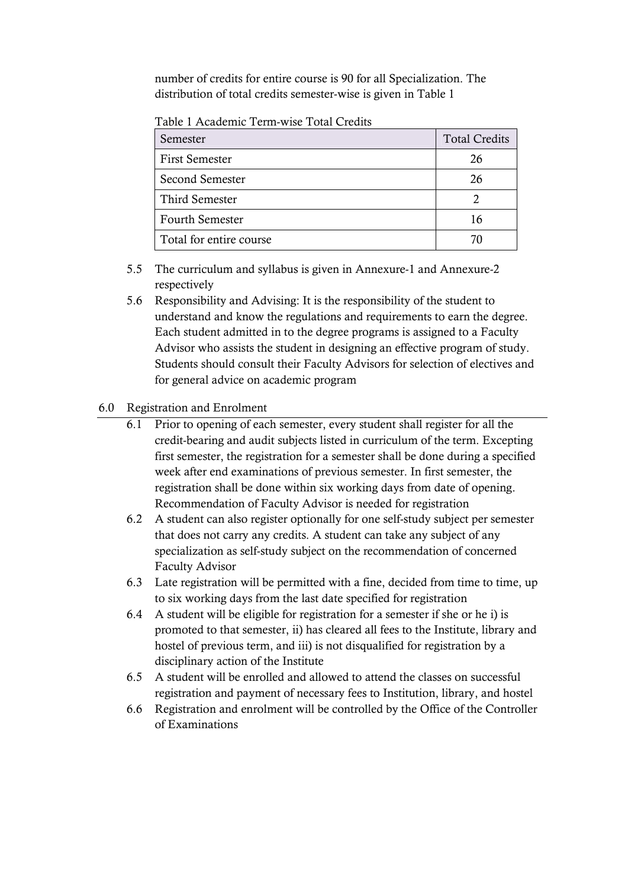number of credits for entire course is 90 for all Specialization. The distribution of total credits semester-wise is given in Table 1

Table 1 Academic Term-wise Total Credits

| Semester                | <b>Total Credits</b> |
|-------------------------|----------------------|
| <b>First Semester</b>   | 26                   |
| Second Semester         | 26                   |
| Third Semester          |                      |
| <b>Fourth Semester</b>  | 16                   |
| Total for entire course | 70                   |

- 5.5 The curriculum and syllabus is given in Annexure-1 and Annexure-2 respectively
- 5.6 Responsibility and Advising: It is the responsibility of the student to understand and know the regulations and requirements to earn the degree. Each student admitted in to the degree programs is assigned to a Faculty Advisor who assists the student in designing an effective program of study. Students should consult their Faculty Advisors for selection of electives and for general advice on academic program

### 6.0 Registration and Enrolment

- 6.1 Prior to opening of each semester, every student shall register for all the credit-bearing and audit subjects listed in curriculum of the term. Excepting first semester, the registration for a semester shall be done during a specified week after end examinations of previous semester. In first semester, the registration shall be done within six working days from date of opening. Recommendation of Faculty Advisor is needed for registration
- 6.2 A student can also register optionally for one self-study subject per semester that does not carry any credits. A student can take any subject of any specialization as self-study subject on the recommendation of concerned Faculty Advisor
- 6.3 Late registration will be permitted with a fine, decided from time to time, up to six working days from the last date specified for registration
- 6.4 A student will be eligible for registration for a semester if she or he i) is promoted to that semester, ii) has cleared all fees to the Institute, library and hostel of previous term, and iii) is not disqualified for registration by a disciplinary action of the Institute
- 6.5 A student will be enrolled and allowed to attend the classes on successful registration and payment of necessary fees to Institution, library, and hostel
- 6.6 Registration and enrolment will be controlled by the Office of the Controller of Examinations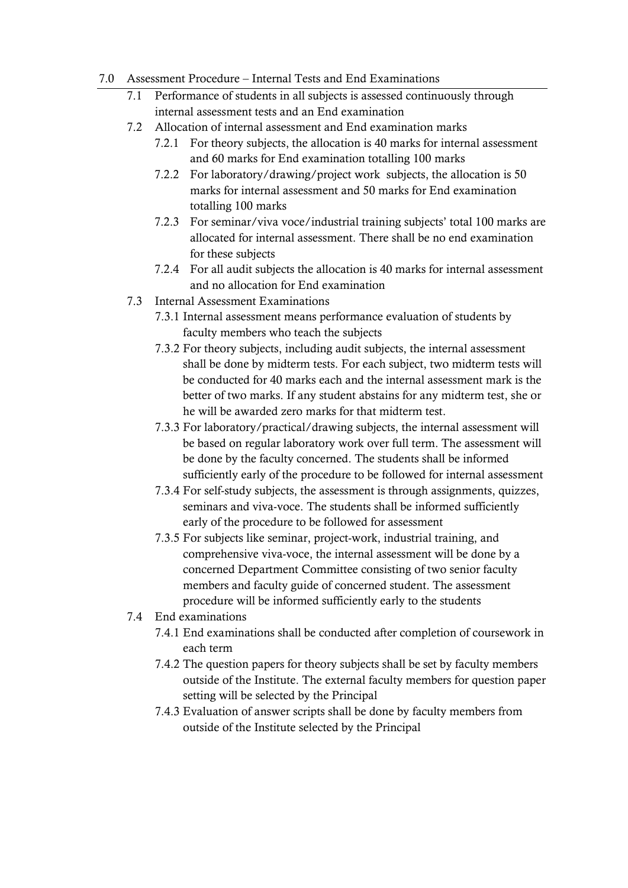#### 7.0 Assessment Procedure – Internal Tests and End Examinations

- 7.1 Performance of students in all subjects is assessed continuously through internal assessment tests and an End examination
- 7.2 Allocation of internal assessment and End examination marks
	- 7.2.1 For theory subjects, the allocation is 40 marks for internal assessment and 60 marks for End examination totalling 100 marks
	- 7.2.2 For laboratory/drawing/project work subjects, the allocation is 50 marks for internal assessment and 50 marks for End examination totalling 100 marks
	- 7.2.3 For seminar/viva voce/industrial training subjects' total 100 marks are allocated for internal assessment. There shall be no end examination for these subjects
	- 7.2.4 For all audit subjects the allocation is 40 marks for internal assessment and no allocation for End examination
- 7.3 Internal Assessment Examinations
	- 7.3.1 Internal assessment means performance evaluation of students by faculty members who teach the subjects
	- 7.3.2 For theory subjects, including audit subjects, the internal assessment shall be done by midterm tests. For each subject, two midterm tests will be conducted for 40 marks each and the internal assessment mark is the better of two marks. If any student abstains for any midterm test, she or he will be awarded zero marks for that midterm test.
	- 7.3.3 For laboratory/practical/drawing subjects, the internal assessment will be based on regular laboratory work over full term. The assessment will be done by the faculty concerned. The students shall be informed sufficiently early of the procedure to be followed for internal assessment
	- 7.3.4 For self-study subjects, the assessment is through assignments, quizzes, seminars and viva-voce. The students shall be informed sufficiently early of the procedure to be followed for assessment
	- 7.3.5 For subjects like seminar, project-work, industrial training, and comprehensive viva-voce, the internal assessment will be done by a concerned Department Committee consisting of two senior faculty members and faculty guide of concerned student. The assessment procedure will be informed sufficiently early to the students
- 7.4 End examinations
	- 7.4.1 End examinations shall be conducted after completion of coursework in each term
	- 7.4.2 The question papers for theory subjects shall be set by faculty members outside of the Institute. The external faculty members for question paper setting will be selected by the Principal
	- 7.4.3 Evaluation of answer scripts shall be done by faculty members from outside of the Institute selected by the Principal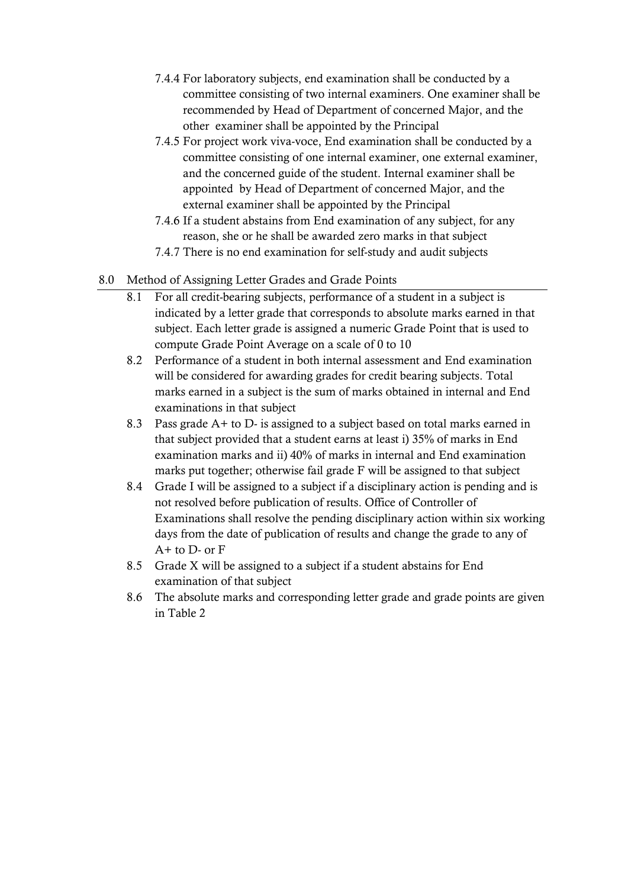- 7.4.4 For laboratory subjects, end examination shall be conducted by a committee consisting of two internal examiners. One examiner shall be recommended by Head of Department of concerned Major, and the other examiner shall be appointed by the Principal
- 7.4.5 For project work viva-voce, End examination shall be conducted by a committee consisting of one internal examiner, one external examiner, and the concerned guide of the student. Internal examiner shall be appointed by Head of Department of concerned Major, and the external examiner shall be appointed by the Principal
- 7.4.6 If a student abstains from End examination of any subject, for any reason, she or he shall be awarded zero marks in that subject
- 7.4.7 There is no end examination for self-study and audit subjects
- 8.0 Method of Assigning Letter Grades and Grade Points
	- 8.1 For all credit-bearing subjects, performance of a student in a subject is indicated by a letter grade that corresponds to absolute marks earned in that subject. Each letter grade is assigned a numeric Grade Point that is used to compute Grade Point Average on a scale of 0 to 10
	- 8.2 Performance of a student in both internal assessment and End examination will be considered for awarding grades for credit bearing subjects. Total marks earned in a subject is the sum of marks obtained in internal and End examinations in that subject
	- 8.3 Pass grade A+ to D- is assigned to a subject based on total marks earned in that subject provided that a student earns at least i) 35% of marks in End examination marks and ii) 40% of marks in internal and End examination marks put together; otherwise fail grade F will be assigned to that subject
	- 8.4 Grade I will be assigned to a subject if a disciplinary action is pending and is not resolved before publication of results. Office of Controller of Examinations shall resolve the pending disciplinary action within six working days from the date of publication of results and change the grade to any of  $A+$  to  $D-$  or  $F$
	- 8.5 Grade X will be assigned to a subject if a student abstains for End examination of that subject
	- 8.6 The absolute marks and corresponding letter grade and grade points are given in Table 2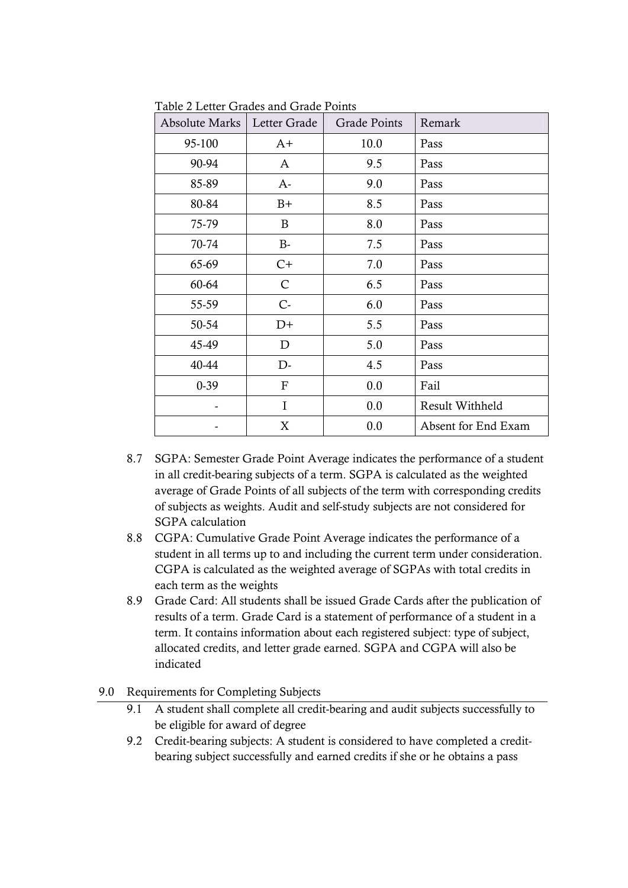| <b>Absolute Marks</b> | Letter Grade              | <b>Grade Points</b> | Remark              |  |  |  |
|-----------------------|---------------------------|---------------------|---------------------|--|--|--|
| 95-100                | $A+$                      | 10.0                | Pass                |  |  |  |
| 90-94                 | A                         | 9.5                 | Pass                |  |  |  |
| 85-89                 | $A-$                      | 9.0                 | Pass                |  |  |  |
| 80-84                 | $B+$                      | 8.5                 | Pass                |  |  |  |
| 75-79                 | B                         | 8.0                 | Pass                |  |  |  |
| 70-74                 | B-                        | 7.5                 | Pass                |  |  |  |
| 65-69                 | $C+$                      | 7.0                 | Pass                |  |  |  |
| 60-64                 | $\mathsf{C}$              | 6.5                 | Pass                |  |  |  |
| 55-59                 | $C -$                     | 6.0                 | Pass                |  |  |  |
| 50-54                 | $D+$                      | 5.5                 | Pass                |  |  |  |
| 45-49                 | D                         | 5.0                 | Pass                |  |  |  |
| 40-44                 | D-                        | 4.5                 | Pass                |  |  |  |
| $0-39$                | $\boldsymbol{\mathrm{F}}$ | 0.0                 | Fail                |  |  |  |
|                       | I                         | 0.0                 | Result Withheld     |  |  |  |
|                       | X                         | 0.0                 | Absent for End Exam |  |  |  |

Table 2 Letter Grades and Grade Points

- 8.7 SGPA: Semester Grade Point Average indicates the performance of a student in all credit-bearing subjects of a term. SGPA is calculated as the weighted average of Grade Points of all subjects of the term with corresponding credits of subjects as weights. Audit and self-study subjects are not considered for SGPA calculation
- 8.8 CGPA: Cumulative Grade Point Average indicates the performance of a student in all terms up to and including the current term under consideration. CGPA is calculated as the weighted average of SGPAs with total credits in each term as the weights
- 8.9 Grade Card: All students shall be issued Grade Cards after the publication of results of a term. Grade Card is a statement of performance of a student in a term. It contains information about each registered subject: type of subject, allocated credits, and letter grade earned. SGPA and CGPA will also be indicated

#### 9.0 Requirements for Completing Subjects

- 9.1 A student shall complete all credit-bearing and audit subjects successfully to be eligible for award of degree
- 9.2 Credit-bearing subjects: A student is considered to have completed a creditbearing subject successfully and earned credits if she or he obtains a pass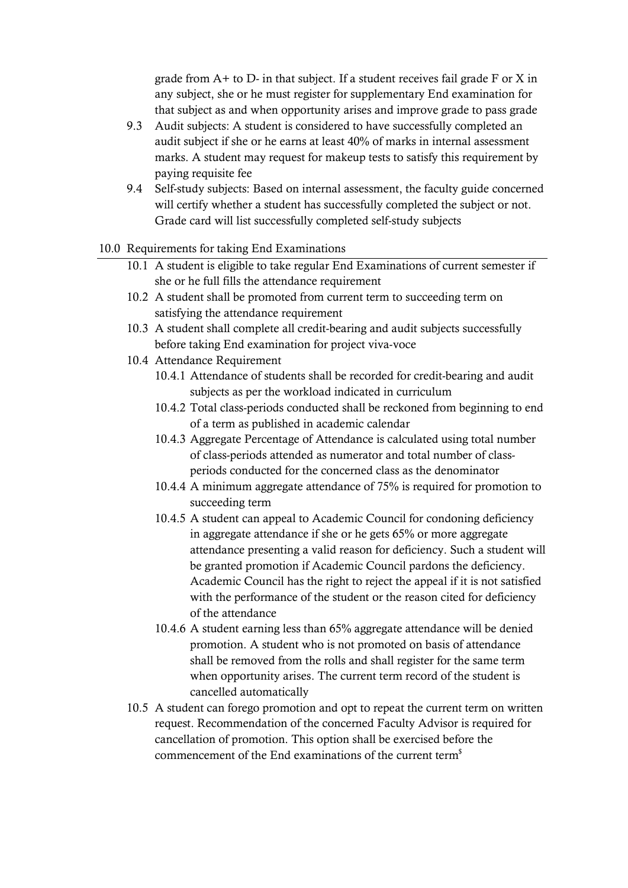grade from A+ to D- in that subject. If a student receives fail grade F or X in any subject, she or he must register for supplementary End examination for that subject as and when opportunity arises and improve grade to pass grade

- 9.3 Audit subjects: A student is considered to have successfully completed an audit subject if she or he earns at least 40% of marks in internal assessment marks. A student may request for makeup tests to satisfy this requirement by paying requisite fee
- 9.4 Self-study subjects: Based on internal assessment, the faculty guide concerned will certify whether a student has successfully completed the subject or not. Grade card will list successfully completed self-study subjects

### 10.0 Requirements for taking End Examinations

- 10.1 A student is eligible to take regular End Examinations of current semester if she or he full fills the attendance requirement
- 10.2 A student shall be promoted from current term to succeeding term on satisfying the attendance requirement
- 10.3 A student shall complete all credit-bearing and audit subjects successfully before taking End examination for project viva-voce
- 10.4 Attendance Requirement
	- 10.4.1 Attendance of students shall be recorded for credit-bearing and audit subjects as per the workload indicated in curriculum
	- 10.4.2 Total class-periods conducted shall be reckoned from beginning to end of a term as published in academic calendar
	- 10.4.3 Aggregate Percentage of Attendance is calculated using total number of class-periods attended as numerator and total number of classperiods conducted for the concerned class as the denominator
	- 10.4.4 A minimum aggregate attendance of 75% is required for promotion to succeeding term
	- 10.4.5 A student can appeal to Academic Council for condoning deficiency in aggregate attendance if she or he gets 65% or more aggregate attendance presenting a valid reason for deficiency. Such a student will be granted promotion if Academic Council pardons the deficiency. Academic Council has the right to reject the appeal if it is not satisfied with the performance of the student or the reason cited for deficiency of the attendance
	- 10.4.6 A student earning less than 65% aggregate attendance will be denied promotion. A student who is not promoted on basis of attendance shall be removed from the rolls and shall register for the same term when opportunity arises. The current term record of the student is cancelled automatically
- 10.5 A student can forego promotion and opt to repeat the current term on written request. Recommendation of the concerned Faculty Advisor is required for cancellation of promotion. This option shall be exercised before the commencement of the End examinations of the current term<sup>\$</sup>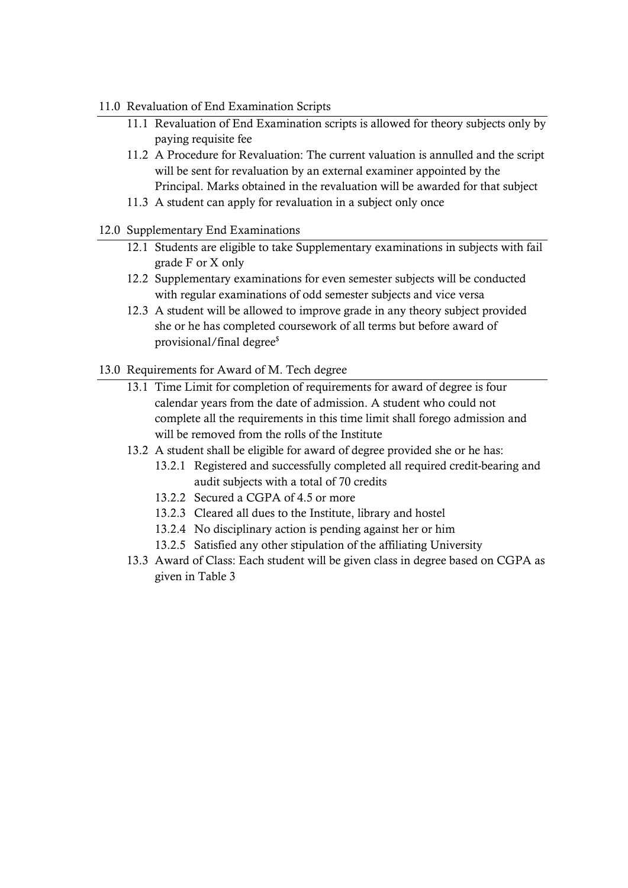#### 11.0 Revaluation of End Examination Scripts

- 11.1 Revaluation of End Examination scripts is allowed for theory subjects only by paying requisite fee
- 11.2 A Procedure for Revaluation: The current valuation is annulled and the script will be sent for revaluation by an external examiner appointed by the Principal. Marks obtained in the revaluation will be awarded for that subject
- 11.3 A student can apply for revaluation in a subject only once
- 12.0 Supplementary End Examinations
	- 12.1 Students are eligible to take Supplementary examinations in subjects with fail grade F or X only
	- 12.2 Supplementary examinations for even semester subjects will be conducted with regular examinations of odd semester subjects and vice versa
	- 12.3 A student will be allowed to improve grade in any theory subject provided she or he has completed coursework of all terms but before award of provisional/final degree\$
- 13.0 Requirements for Award of M. Tech degree
	- 13.1 Time Limit for completion of requirements for award of degree is four calendar years from the date of admission. A student who could not complete all the requirements in this time limit shall forego admission and will be removed from the rolls of the Institute
	- 13.2 A student shall be eligible for award of degree provided she or he has:
		- 13.2.1 Registered and successfully completed all required credit-bearing and audit subjects with a total of 70 credits
		- 13.2.2 Secured a CGPA of 4.5 or more
		- 13.2.3 Cleared all dues to the Institute, library and hostel
		- 13.2.4 No disciplinary action is pending against her or him
		- 13.2.5 Satisfied any other stipulation of the affiliating University
	- 13.3 Award of Class: Each student will be given class in degree based on CGPA as given in Table 3